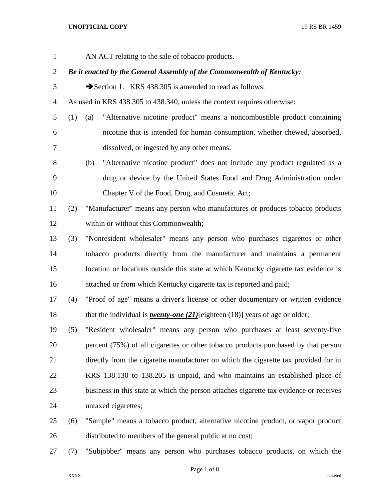| $\mathbf{1}$   |     | AN ACT relating to the sale of tobacco products.                                          |
|----------------|-----|-------------------------------------------------------------------------------------------|
| $\overline{2}$ |     | Be it enacted by the General Assembly of the Commonwealth of Kentucky:                    |
| 3              |     | Section 1. KRS 438.305 is amended to read as follows:                                     |
| $\overline{4}$ |     | As used in KRS 438.305 to 438.340, unless the context requires otherwise:                 |
| 5              | (1) | "Alternative nicotine product" means a noncombustible product containing<br>(a)           |
| 6              |     | nicotine that is intended for human consumption, whether chewed, absorbed,                |
| 7              |     | dissolved, or ingested by any other means.                                                |
| $8\,$          |     | "Alternative nicotine product" does not include any product regulated as a<br>(b)         |
| 9              |     | drug or device by the United States Food and Drug Administration under                    |
| 10             |     | Chapter V of the Food, Drug, and Cosmetic Act;                                            |
| 11             | (2) | "Manufacturer" means any person who manufactures or produces tobacco products             |
| 12             |     | within or without this Commonwealth;                                                      |
| 13             | (3) | "Nonresident wholesaler" means any person who purchases cigarettes or other               |
| 14             |     | tobacco products directly from the manufacturer and maintains a permanent                 |
| 15             |     | location or locations outside this state at which Kentucky cigarette tax evidence is      |
| 16             |     | attached or from which Kentucky cigarette tax is reported and paid;                       |
| 17             | (4) | "Proof of age" means a driver's license or other documentary or written evidence          |
| 18             |     | that the individual is <b>twenty-one</b> $(21)$ [eighteen $(18)$ ] years of age or older; |
| 19             | (5) | "Resident wholesaler" means any person who purchases at least seventy-five                |
| 20             |     | percent (75%) of all cigarettes or other tobacco products purchased by that person        |
| 21             |     | directly from the cigarette manufacturer on which the cigarette tax provided for in       |
| 22             |     | KRS 138.130 to 138.205 is unpaid, and who maintains an established place of               |
| 23             |     | business in this state at which the person attaches cigarette tax evidence or receives    |
| 24             |     | untaxed cigarettes;                                                                       |
| 25             | (6) | "Sample" means a tobacco product, alternative nicotine product, or vapor product          |
| 26             |     | distributed to members of the general public at no cost;                                  |

(7) "Subjobber" means any person who purchases tobacco products, on which the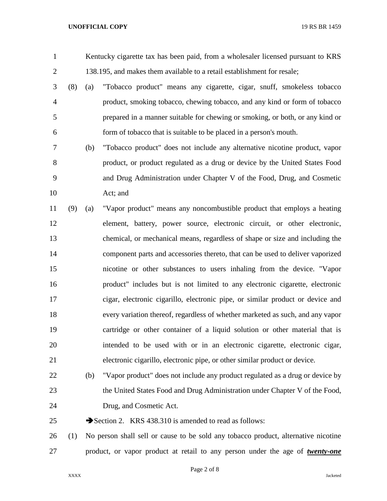Kentucky cigarette tax has been paid, from a wholesaler licensed pursuant to KRS 138.195, and makes them available to a retail establishment for resale;

- (8) (a) "Tobacco product" means any cigarette, cigar, snuff, smokeless tobacco product, smoking tobacco, chewing tobacco, and any kind or form of tobacco prepared in a manner suitable for chewing or smoking, or both, or any kind or form of tobacco that is suitable to be placed in a person's mouth.
- (b) "Tobacco product" does not include any alternative nicotine product, vapor product, or product regulated as a drug or device by the United States Food and Drug Administration under Chapter V of the Food, Drug, and Cosmetic Act; and

 (9) (a) "Vapor product" means any noncombustible product that employs a heating element, battery, power source, electronic circuit, or other electronic, chemical, or mechanical means, regardless of shape or size and including the component parts and accessories thereto, that can be used to deliver vaporized nicotine or other substances to users inhaling from the device. "Vapor product" includes but is not limited to any electronic cigarette, electronic cigar, electronic cigarillo, electronic pipe, or similar product or device and every variation thereof, regardless of whether marketed as such, and any vapor cartridge or other container of a liquid solution or other material that is intended to be used with or in an electronic cigarette, electronic cigar, electronic cigarillo, electronic pipe, or other similar product or device.

 (b) "Vapor product" does not include any product regulated as a drug or device by the United States Food and Drug Administration under Chapter V of the Food, Drug, and Cosmetic Act.

25 Section 2. KRS 438.310 is amended to read as follows:

 (1) No person shall sell or cause to be sold any tobacco product, alternative nicotine product, or vapor product at retail to any person under the age of *twenty-one*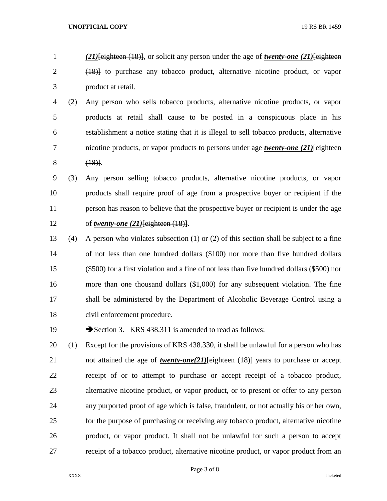- *(21)*[eighteen (18)], or solicit any person under the age of *twenty-one (21)*[eighteen (18)] to purchase any tobacco product, alternative nicotine product, or vapor product at retail.
- (2) Any person who sells tobacco products, alternative nicotine products, or vapor products at retail shall cause to be posted in a conspicuous place in his establishment a notice stating that it is illegal to sell tobacco products, alternative nicotine products, or vapor products to persons under age *twenty-one (21)*[eighteen (18)].
- (3) Any person selling tobacco products, alternative nicotine products, or vapor products shall require proof of age from a prospective buyer or recipient if the person has reason to believe that the prospective buyer or recipient is under the age of *twenty-one (21)*[eighteen (18)].
- (4) A person who violates subsection (1) or (2) of this section shall be subject to a fine of not less than one hundred dollars (\$100) nor more than five hundred dollars (\$500) for a first violation and a fine of not less than five hundred dollars (\$500) nor more than one thousand dollars (\$1,000) for any subsequent violation. The fine shall be administered by the Department of Alcoholic Beverage Control using a civil enforcement procedure.
- 19 Section 3. KRS 438.311 is amended to read as follows:
- (1) Except for the provisions of KRS 438.330, it shall be unlawful for a person who has not attained the age of *twenty-one(21)*[eighteen (18)] years to purchase or accept receipt of or to attempt to purchase or accept receipt of a tobacco product, alternative nicotine product, or vapor product, or to present or offer to any person any purported proof of age which is false, fraudulent, or not actually his or her own, for the purpose of purchasing or receiving any tobacco product, alternative nicotine product, or vapor product. It shall not be unlawful for such a person to accept receipt of a tobacco product, alternative nicotine product, or vapor product from an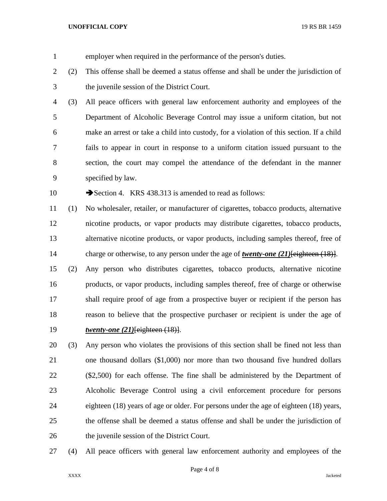employer when required in the performance of the person's duties. (2) This offense shall be deemed a status offense and shall be under the jurisdiction of the juvenile session of the District Court. (3) All peace officers with general law enforcement authority and employees of the Department of Alcoholic Beverage Control may issue a uniform citation, but not make an arrest or take a child into custody, for a violation of this section. If a child fails to appear in court in response to a uniform citation issued pursuant to the section, the court may compel the attendance of the defendant in the manner specified by law. 10 Section 4. KRS 438.313 is amended to read as follows: (1) No wholesaler, retailer, or manufacturer of cigarettes, tobacco products, alternative nicotine products, or vapor products may distribute cigarettes, tobacco products, alternative nicotine products, or vapor products, including samples thereof, free of 14 charge or otherwise, to any person under the age of *twenty-one* (21)<sup>[eighteen (18)].</sup>

 (2) Any person who distributes cigarettes, tobacco products, alternative nicotine products, or vapor products, including samples thereof, free of charge or otherwise shall require proof of age from a prospective buyer or recipient if the person has reason to believe that the prospective purchaser or recipient is under the age of *twenty-one (21)*[eighteen (18)].

- (3) Any person who violates the provisions of this section shall be fined not less than one thousand dollars (\$1,000) nor more than two thousand five hundred dollars (\$2,500) for each offense. The fine shall be administered by the Department of Alcoholic Beverage Control using a civil enforcement procedure for persons eighteen (18) years of age or older. For persons under the age of eighteen (18) years, the offense shall be deemed a status offense and shall be under the jurisdiction of the juvenile session of the District Court.
- (4) All peace officers with general law enforcement authority and employees of the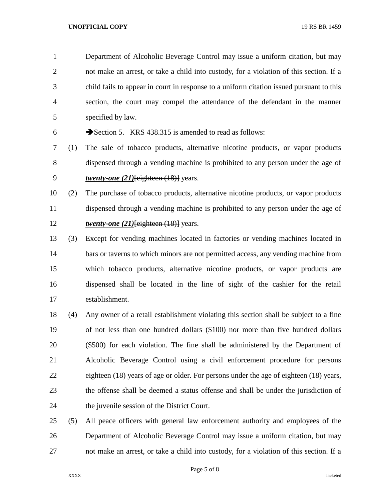Department of Alcoholic Beverage Control may issue a uniform citation, but may not make an arrest, or take a child into custody, for a violation of this section. If a child fails to appear in court in response to a uniform citation issued pursuant to this section, the court may compel the attendance of the defendant in the manner specified by law.

6 Section 5. KRS 438.315 is amended to read as follows:

 (1) The sale of tobacco products, alternative nicotine products, or vapor products dispensed through a vending machine is prohibited to any person under the age of *twenty-one (21)*[eighteen (18)] years.

 (2) The purchase of tobacco products, alternative nicotine products, or vapor products dispensed through a vending machine is prohibited to any person under the age of *twenty-one (21)*[eighteen (18)] years.

- (3) Except for vending machines located in factories or vending machines located in bars or taverns to which minors are not permitted access, any vending machine from which tobacco products, alternative nicotine products, or vapor products are dispensed shall be located in the line of sight of the cashier for the retail establishment.
- (4) Any owner of a retail establishment violating this section shall be subject to a fine of not less than one hundred dollars (\$100) nor more than five hundred dollars (\$500) for each violation. The fine shall be administered by the Department of Alcoholic Beverage Control using a civil enforcement procedure for persons eighteen (18) years of age or older. For persons under the age of eighteen (18) years, the offense shall be deemed a status offense and shall be under the jurisdiction of the juvenile session of the District Court.
- (5) All peace officers with general law enforcement authority and employees of the Department of Alcoholic Beverage Control may issue a uniform citation, but may not make an arrest, or take a child into custody, for a violation of this section. If a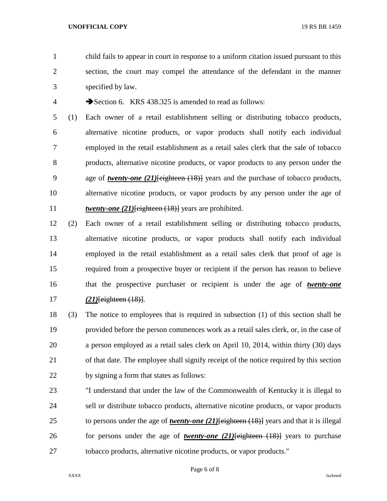- child fails to appear in court in response to a uniform citation issued pursuant to this section, the court may compel the attendance of the defendant in the manner specified by law.
- 4 Section 6. KRS 438.325 is amended to read as follows:

 (1) Each owner of a retail establishment selling or distributing tobacco products, alternative nicotine products, or vapor products shall notify each individual employed in the retail establishment as a retail sales clerk that the sale of tobacco products, alternative nicotine products, or vapor products to any person under the age of *twenty-one (21)*[eighteen (18)] years and the purchase of tobacco products, alternative nicotine products, or vapor products by any person under the age of *twenty-one (21)*[eighteen (18)] years are prohibited.

- (2) Each owner of a retail establishment selling or distributing tobacco products, alternative nicotine products, or vapor products shall notify each individual employed in the retail establishment as a retail sales clerk that proof of age is required from a prospective buyer or recipient if the person has reason to believe that the prospective purchaser or recipient is under the age of *twenty-one (21)*[eighteen (18)].
- (3) The notice to employees that is required in subsection (1) of this section shall be provided before the person commences work as a retail sales clerk, or, in the case of a person employed as a retail sales clerk on April 10, 2014, within thirty (30) days of that date. The employee shall signify receipt of the notice required by this section by signing a form that states as follows:
- "I understand that under the law of the Commonwealth of Kentucky it is illegal to sell or distribute tobacco products, alternative nicotine products, or vapor products to persons under the age of *twenty-one (21)*[eighteen (18)] years and that it is illegal for persons under the age of *twenty-one (21)*[eighteen (18)] years to purchase tobacco products, alternative nicotine products, or vapor products."

Page 6 of 8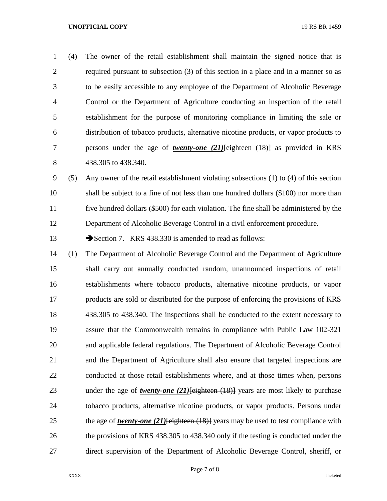(4) The owner of the retail establishment shall maintain the signed notice that is required pursuant to subsection (3) of this section in a place and in a manner so as to be easily accessible to any employee of the Department of Alcoholic Beverage Control or the Department of Agriculture conducting an inspection of the retail establishment for the purpose of monitoring compliance in limiting the sale or distribution of tobacco products, alternative nicotine products, or vapor products to persons under the age of *twenty-one (21)*[eighteen (18)] as provided in KRS 438.305 to 438.340.

 (5) Any owner of the retail establishment violating subsections (1) to (4) of this section shall be subject to a fine of not less than one hundred dollars (\$100) nor more than five hundred dollars (\$500) for each violation. The fine shall be administered by the Department of Alcoholic Beverage Control in a civil enforcement procedure.

13 Section 7. KRS 438.330 is amended to read as follows:

 (1) The Department of Alcoholic Beverage Control and the Department of Agriculture shall carry out annually conducted random, unannounced inspections of retail establishments where tobacco products, alternative nicotine products, or vapor products are sold or distributed for the purpose of enforcing the provisions of KRS 438.305 to 438.340. The inspections shall be conducted to the extent necessary to assure that the Commonwealth remains in compliance with Public Law 102-321 and applicable federal regulations. The Department of Alcoholic Beverage Control and the Department of Agriculture shall also ensure that targeted inspections are conducted at those retail establishments where, and at those times when, persons 23 under the age of *twenty-one* (21)<del>[eighteen (18)]</del> years are most likely to purchase tobacco products, alternative nicotine products, or vapor products. Persons under the age of *twenty-one (21)*[eighteen (18)] years may be used to test compliance with the provisions of KRS 438.305 to 438.340 only if the testing is conducted under the direct supervision of the Department of Alcoholic Beverage Control, sheriff, or